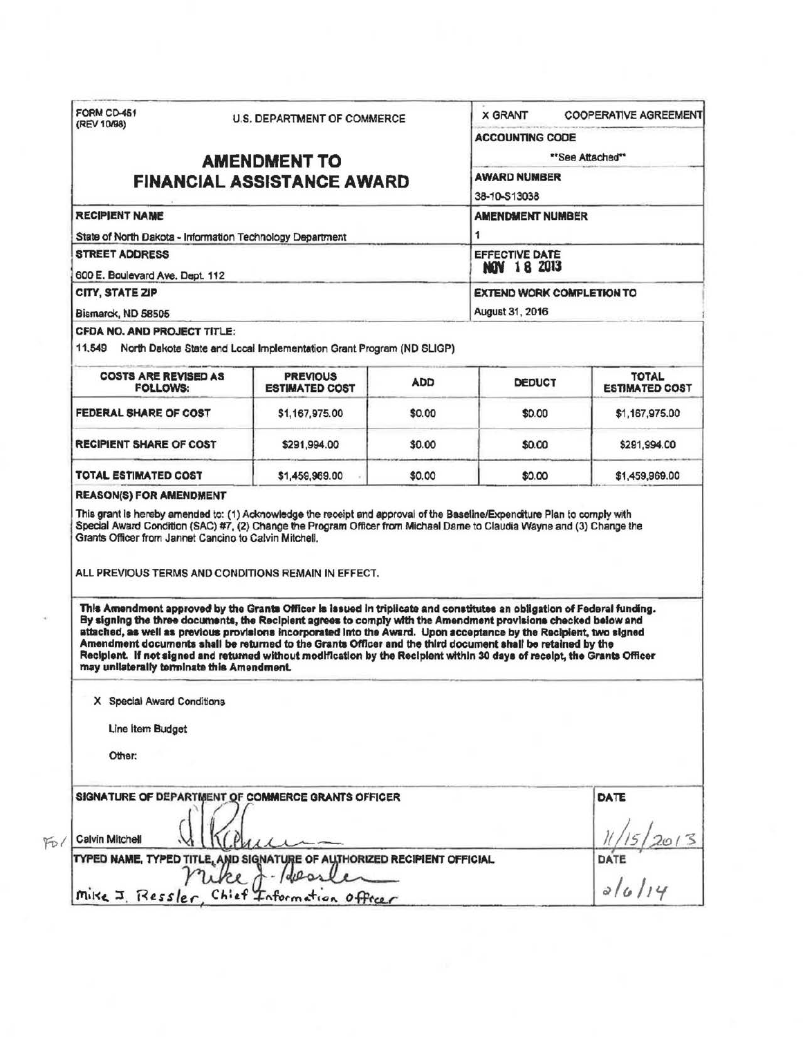| <b>ACCOUNTING CODE</b><br>**See Attached**<br><b>AMENDMENT TO</b><br><b>AWARD NUMBER</b><br><b>FINANCIAL ASSISTANCE AWARD</b><br>38-10-S13038<br><b>AMENDMENT NUMBER</b><br>1<br><b>EFFECTIVE DATE</b><br><b>NOV 18 2013</b><br><b>EXTEND WORK COMPLETION TO</b><br>August 31, 2016<br><b>COSTS ARE REVISED AS</b><br><b>PREVIOUS</b><br><b>ADD</b><br><b>DEDUCT</b><br><b>ESTIMATED COST</b><br><b>FOLLOWS:</b><br><b>FEDERAL SHARE OF COST</b><br>\$1,167,975.00<br>\$0.00<br>\$0.00<br>\$0.00<br>\$291,994.00<br>\$0.00<br>\$1,459,969.00<br>\$0.00<br>\$0.00<br>This Amendment approved by the Grants Officer is issued in triplicate and constitutes an obligation of Federal funding.<br>By signing the three documents, the Recipient agrees to comply with the Amendment provisions checked below and<br>attached, as well as previous provisions incorporated into the Award. Upon acceptance by the Recipient, two signed<br>Amendment documents shall be returned to the Grants Officer and the third document shall be retained by the<br>Recipient. If not signed and returned without modification by the Recipient within 30 days of receipt, the Grants Officer<br>may unilaterally terminate this Amendment.<br>X Special Award Conditions<br>Line Item Budget<br>Other:<br>DATE | (REV 10/98)            | <b>U.S. DEPARTMENT OF COMMERCE</b> | <b>X GRANT</b> | <b>COOPERATIVE AGREEMENT</b>          |
|---------------------------------------------------------------------------------------------------------------------------------------------------------------------------------------------------------------------------------------------------------------------------------------------------------------------------------------------------------------------------------------------------------------------------------------------------------------------------------------------------------------------------------------------------------------------------------------------------------------------------------------------------------------------------------------------------------------------------------------------------------------------------------------------------------------------------------------------------------------------------------------------------------------------------------------------------------------------------------------------------------------------------------------------------------------------------------------------------------------------------------------------------------------------------------------------------------------------------------------------------------------------------------------------------|------------------------|------------------------------------|----------------|---------------------------------------|
|                                                                                                                                                                                                                                                                                                                                                                                                                                                                                                                                                                                                                                                                                                                                                                                                                                                                                                                                                                                                                                                                                                                                                                                                                                                                                                   |                        |                                    |                |                                       |
| <b>RECIPIENT NAME</b><br>State of North Dakota - Information Technology Department<br><b>STREET ADDRESS</b><br>600 E. Boulevard Ave. Dept. 112<br>CITY, STATE ZIP<br>Bismarck, ND 58505<br>CFDA NO. AND PROJECT TITLE:<br>11,549 North Dakota State and Local Implementation Grant Program (ND SLIGP)<br><b>RECIPIENT SHARE OF COST</b><br>TOTAL ESTIMATED COST<br><b>REASON(S) FOR AMENDMENT</b><br>This grant is hereby amended to: (1) Acknowledge the receipt and approval of the Baseline/Expenditure Plan to comply with<br>Special Award Condition (SAC) #7, (2) Change the Program Officer from Michael Dame to Claudia Wayne and (3) Change the<br>Grants Officer from Jannet Cancino to Calvin Mitchell.<br>ALL PREVIOUS TERMS AND CONDITIONS REMAIN IN EFFECT.<br>SIGNATURE OF DEPARTMENT OF COMMERCE GRANTS OFFICER<br>TYPED NAME, TYPED TITLE, AND SIGNATURE OF AUTHORIZED RECIPIENT OFFICIAL<br>Mike J. Ressler, Chief Information Officer                                                                                                                                                                                                                                                                                                                                          |                        |                                    |                |                                       |
|                                                                                                                                                                                                                                                                                                                                                                                                                                                                                                                                                                                                                                                                                                                                                                                                                                                                                                                                                                                                                                                                                                                                                                                                                                                                                                   |                        |                                    |                |                                       |
|                                                                                                                                                                                                                                                                                                                                                                                                                                                                                                                                                                                                                                                                                                                                                                                                                                                                                                                                                                                                                                                                                                                                                                                                                                                                                                   |                        |                                    |                |                                       |
|                                                                                                                                                                                                                                                                                                                                                                                                                                                                                                                                                                                                                                                                                                                                                                                                                                                                                                                                                                                                                                                                                                                                                                                                                                                                                                   |                        |                                    |                |                                       |
|                                                                                                                                                                                                                                                                                                                                                                                                                                                                                                                                                                                                                                                                                                                                                                                                                                                                                                                                                                                                                                                                                                                                                                                                                                                                                                   |                        |                                    |                |                                       |
|                                                                                                                                                                                                                                                                                                                                                                                                                                                                                                                                                                                                                                                                                                                                                                                                                                                                                                                                                                                                                                                                                                                                                                                                                                                                                                   |                        |                                    |                |                                       |
|                                                                                                                                                                                                                                                                                                                                                                                                                                                                                                                                                                                                                                                                                                                                                                                                                                                                                                                                                                                                                                                                                                                                                                                                                                                                                                   |                        |                                    |                |                                       |
|                                                                                                                                                                                                                                                                                                                                                                                                                                                                                                                                                                                                                                                                                                                                                                                                                                                                                                                                                                                                                                                                                                                                                                                                                                                                                                   |                        |                                    |                |                                       |
|                                                                                                                                                                                                                                                                                                                                                                                                                                                                                                                                                                                                                                                                                                                                                                                                                                                                                                                                                                                                                                                                                                                                                                                                                                                                                                   |                        |                                    |                |                                       |
|                                                                                                                                                                                                                                                                                                                                                                                                                                                                                                                                                                                                                                                                                                                                                                                                                                                                                                                                                                                                                                                                                                                                                                                                                                                                                                   |                        |                                    |                |                                       |
|                                                                                                                                                                                                                                                                                                                                                                                                                                                                                                                                                                                                                                                                                                                                                                                                                                                                                                                                                                                                                                                                                                                                                                                                                                                                                                   |                        |                                    |                | <b>TOTAL</b><br><b>ESTIMATED COST</b> |
|                                                                                                                                                                                                                                                                                                                                                                                                                                                                                                                                                                                                                                                                                                                                                                                                                                                                                                                                                                                                                                                                                                                                                                                                                                                                                                   |                        |                                    |                | \$1,167,975.00                        |
|                                                                                                                                                                                                                                                                                                                                                                                                                                                                                                                                                                                                                                                                                                                                                                                                                                                                                                                                                                                                                                                                                                                                                                                                                                                                                                   |                        |                                    |                | \$291,994.00                          |
|                                                                                                                                                                                                                                                                                                                                                                                                                                                                                                                                                                                                                                                                                                                                                                                                                                                                                                                                                                                                                                                                                                                                                                                                                                                                                                   |                        |                                    |                | \$1,459,969.00                        |
|                                                                                                                                                                                                                                                                                                                                                                                                                                                                                                                                                                                                                                                                                                                                                                                                                                                                                                                                                                                                                                                                                                                                                                                                                                                                                                   |                        |                                    |                |                                       |
|                                                                                                                                                                                                                                                                                                                                                                                                                                                                                                                                                                                                                                                                                                                                                                                                                                                                                                                                                                                                                                                                                                                                                                                                                                                                                                   |                        |                                    |                |                                       |
|                                                                                                                                                                                                                                                                                                                                                                                                                                                                                                                                                                                                                                                                                                                                                                                                                                                                                                                                                                                                                                                                                                                                                                                                                                                                                                   |                        |                                    |                |                                       |
|                                                                                                                                                                                                                                                                                                                                                                                                                                                                                                                                                                                                                                                                                                                                                                                                                                                                                                                                                                                                                                                                                                                                                                                                                                                                                                   |                        |                                    |                |                                       |
|                                                                                                                                                                                                                                                                                                                                                                                                                                                                                                                                                                                                                                                                                                                                                                                                                                                                                                                                                                                                                                                                                                                                                                                                                                                                                                   |                        |                                    |                |                                       |
|                                                                                                                                                                                                                                                                                                                                                                                                                                                                                                                                                                                                                                                                                                                                                                                                                                                                                                                                                                                                                                                                                                                                                                                                                                                                                                   | <b>Calvin Mitchell</b> |                                    |                |                                       |
|                                                                                                                                                                                                                                                                                                                                                                                                                                                                                                                                                                                                                                                                                                                                                                                                                                                                                                                                                                                                                                                                                                                                                                                                                                                                                                   |                        |                                    |                | DATE                                  |